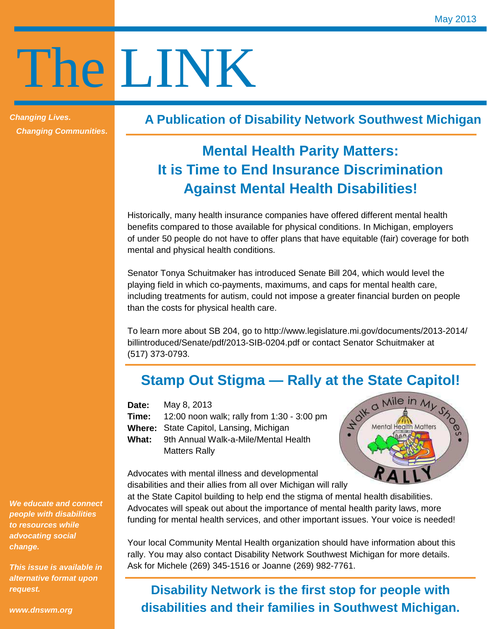# The LINK

**Changing Lives. Changing Communities.**  **A Publication of Disability Network Southwest Michigan**

# **Mental Health Parity Matters: It is Time to End Insurance Discrimination Against Mental Health Disabilities!**

Historically, many health insurance companies have offered different mental health benefits compared to those available for physical conditions. In Michigan, employers of under 50 people do not have to offer plans that have equitable (fair) coverage for both mental and physical health conditions.

Senator Tonya Schuitmaker has introduced Senate Bill 204, which would level the playing field in which co-payments, maximums, and caps for mental health care, including treatments for autism, could not impose a greater financial burden on people than the costs for physical health care.

To learn more about SB 204, go to http://www.legislature.mi.gov/documents/2013-2014/ billintroduced/Senate/pdf/2013-SIB-0204.pdf or contact Senator Schuitmaker at (517) 373-0793.

## **Stamp Out Stigma — Rally at the State Capitol!**

**Date:**  May 8, 2013

- **Time:**  12:00 noon walk; rally from 1:30 - 3:00 pm
- **Where:**  State Capitol, Lansing, Michigan
- **What:** 9th Annual Walk-a-Mile/Mental Health Matters Rally



Advocates with mental illness and developmental disabilities and their allies from all over Michigan will rally

at the State Capitol building to help end the stigma of mental health disabilities. Advocates will speak out about the importance of mental health parity laws, more funding for mental health services, and other important issues. Your voice is needed!

Your local Community Mental Health organization should have information about this rally. You may also contact Disability Network Southwest Michigan for more details. Ask for Michele (269) 345-1516 or Joanne (269) 982-7761.

## **Disability Network is the first stop for people with disabilities and their families in Southwest Michigan.**

**We educate and connect people with disabilities to resources while advocating social change.** 

**This issue is available in alternative format upon request.** 

**www.dnswm.org**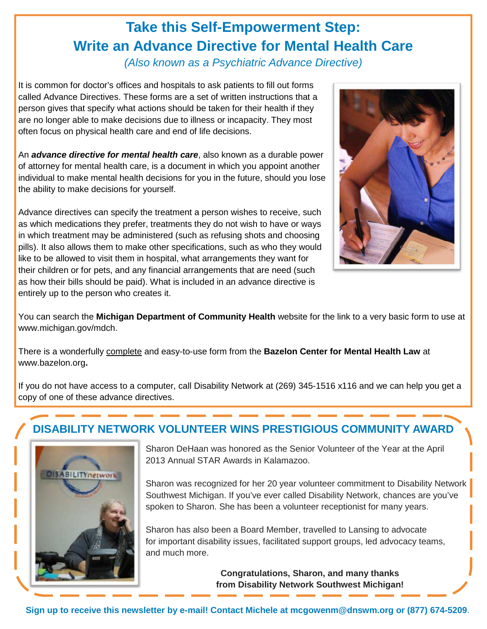# **Take this Self-Empowerment Step: Write an Advance Directive for Mental Health Care**

(Also known as a Psychiatric Advance Directive)

It is common for doctor's offices and hospitals to ask patients to fill out forms called Advance Directives. These forms are a set of written instructions that a person gives that specify what actions should be taken for their health if they are no longer able to make decisions due to illness or incapacity. They most often focus on physical health care and end of life decisions.

An **advance directive for mental health care**, also known as a durable power of attorney for mental health care, is a document in which you appoint another individual to make mental health decisions for you in the future, should you lose the ability to make decisions for yourself.

Advance directives can specify the treatment a person wishes to receive, such as which medications they prefer, treatments they do not wish to have or ways in which treatment may be administered (such as refusing shots and choosing pills). It also allows them to make other specifications, such as who they would like to be allowed to visit them in hospital, what arrangements they want for their children or for pets, and any financial arrangements that are need (such as how their bills should be paid). What is included in an advance directive is entirely up to the person who creates it.



You can search the **Michigan Department of Community Health** website for the link to a very basic form to use at www.michigan.gov/mdch.

There is a wonderfully complete and easy-to-use form from the **Bazelon Center for Mental Health Law** at www.bazelon.org**.** 

If you do not have access to a computer, call Disability Network at (269) 345-1516 x116 and we can help you get a copy of one of these advance directives.

## **DISABILITY NETWORK VOLUNTEER WINS PRESTIGIOUS COMMUNITY AWARD**



Sharon DeHaan was honored as the Senior Volunteer of the Year at the April 2013 Annual STAR Awards in Kalamazoo.

Sharon was recognized for her 20 year volunteer commitment to Disability Network Southwest Michigan. If you've ever called Disability Network, chances are you've spoken to Sharon. She has been a volunteer receptionist for many years.

Sharon has also been a Board Member, travelled to Lansing to advocate for important disability issues, facilitated support groups, led advocacy teams, and much more.

> **Congratulations, Sharon, and many thanks from Disability Network Southwest Michigan!**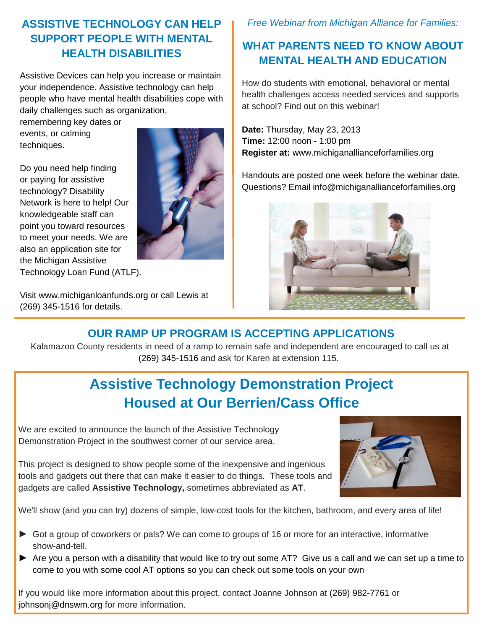#### **ASSISTIVE TECHNOLOGY CAN HELP SUPPORT PEOPLE WITH MENTAL HEALTH DISABILITIES**

Assistive Devices can help you increase or maintain your independence. Assistive technology can help people who have mental health disabilities cope with daily challenges such as organization,

remembering key dates or events, or calming techniques.

Do you need help finding or paying for assistive technology? Disability Network is here to help! Our knowledgeable staff can point you toward resources to meet your needs. We are also an application site for the Michigan Assistive Technology Loan Fund (ATLF).



Visit www.michiganloanfunds.org or call Lewis at (269) 345-1516 for details.

#### Free Webinar from Michigan Alliance for Families:

### **WHAT PARENTS NEED TO KNOW ABOUT MENTAL HEALTH AND EDUCATION**

How do students with emotional, behavioral or mental health challenges access needed services and supports at school? Find out on this webinar!

**Date:** Thursday, May 23, 2013 **Time:** 12:00 noon - 1:00 pm **Register at:** www.michiganallianceforfamilies.org

Handouts are posted one week before the webinar date. Questions? Email info@michiganallianceforfamilies.org



## **OUR RAMP UP PROGRAM IS ACCEPTING APPLICATIONS**

Kalamazoo County residents in need of a ramp to remain safe and independent are encouraged to call us at (269) 345-1516 and ask for Karen at extension 115.

# **Assistive Technology Demonstration Project Housed at Our Berrien/Cass Office**

We are excited to announce the launch of the Assistive Technology Demonstration Project in the southwest corner of our service area.

This project is designed to show people some of the inexpensive and ingenious tools and gadgets out there that can make it easier to do things. These tools and gadgets are called **Assistive Technology,** sometimes abbreviated as **AT**.



We'll show (and you can try) dozens of simple, low-cost tools for the kitchen, bathroom, and every area of life!

- ► Got a group of coworkers or pals? We can come to groups of 16 or more for an interactive, informative show-and-tell.
- ► Are you a person with a disability that would like to try out some AT? Give us a call and we can set up a time to come to you with some cool AT options so you can check out some tools on your own

If you would like more information about this project, contact Joanne Johnson at (269) 982-7761 or johnsonj@dnswm.org for more information.